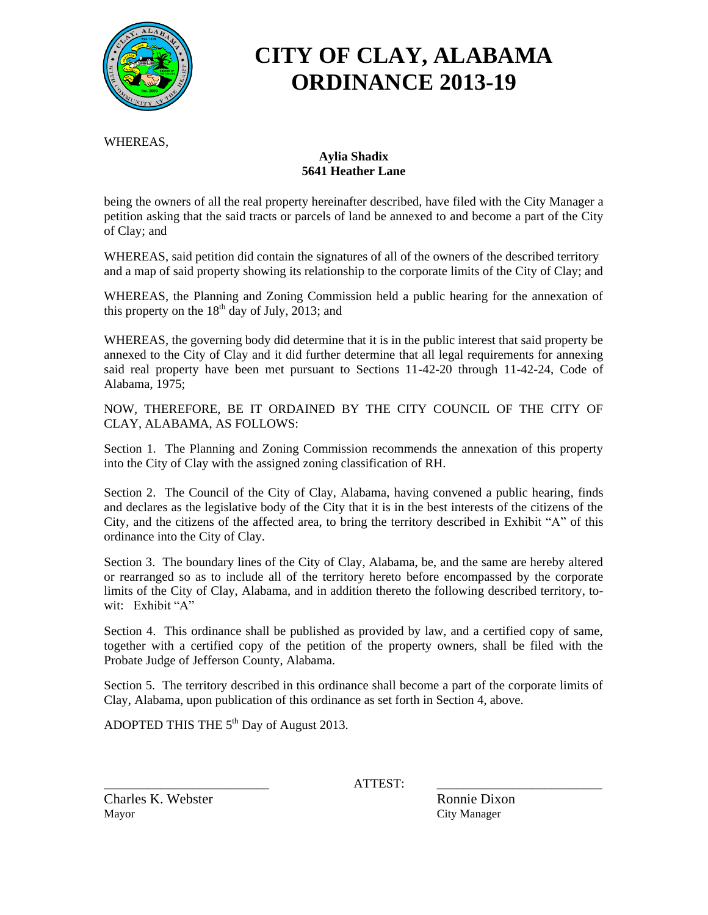

# **CITY OF CLAY, ALABAMA ORDINANCE 2013-19**

WHEREAS,

#### **Aylia Shadix 5641 Heather Lane**

being the owners of all the real property hereinafter described, have filed with the City Manager a petition asking that the said tracts or parcels of land be annexed to and become a part of the City of Clay; and

WHEREAS, said petition did contain the signatures of all of the owners of the described territory and a map of said property showing its relationship to the corporate limits of the City of Clay; and

WHEREAS, the Planning and Zoning Commission held a public hearing for the annexation of this property on the  $18<sup>th</sup>$  day of July, 2013; and

WHEREAS, the governing body did determine that it is in the public interest that said property be annexed to the City of Clay and it did further determine that all legal requirements for annexing said real property have been met pursuant to Sections 11-42-20 through 11-42-24, Code of Alabama, 1975;

NOW, THEREFORE, BE IT ORDAINED BY THE CITY COUNCIL OF THE CITY OF CLAY, ALABAMA, AS FOLLOWS:

Section 1. The Planning and Zoning Commission recommends the annexation of this property into the City of Clay with the assigned zoning classification of RH.

Section 2. The Council of the City of Clay, Alabama, having convened a public hearing, finds and declares as the legislative body of the City that it is in the best interests of the citizens of the City, and the citizens of the affected area, to bring the territory described in Exhibit "A" of this ordinance into the City of Clay.

Section 3. The boundary lines of the City of Clay, Alabama, be, and the same are hereby altered or rearranged so as to include all of the territory hereto before encompassed by the corporate limits of the City of Clay, Alabama, and in addition thereto the following described territory, towit: Exhibit "A"

Section 4. This ordinance shall be published as provided by law, and a certified copy of same, together with a certified copy of the petition of the property owners, shall be filed with the Probate Judge of Jefferson County, Alabama.

Section 5. The territory described in this ordinance shall become a part of the corporate limits of Clay, Alabama, upon publication of this ordinance as set forth in Section 4, above.

ADOPTED THIS THE  $5<sup>th</sup>$  Day of August 2013.

\_\_\_\_\_\_\_\_\_\_\_\_\_\_\_\_\_\_\_\_\_\_\_\_\_\_ ATTEST: \_\_\_\_\_\_\_\_\_\_\_\_\_\_\_\_\_\_\_\_\_\_\_\_\_\_

Charles K. Webster Ronnie Dixon Mayor City Manager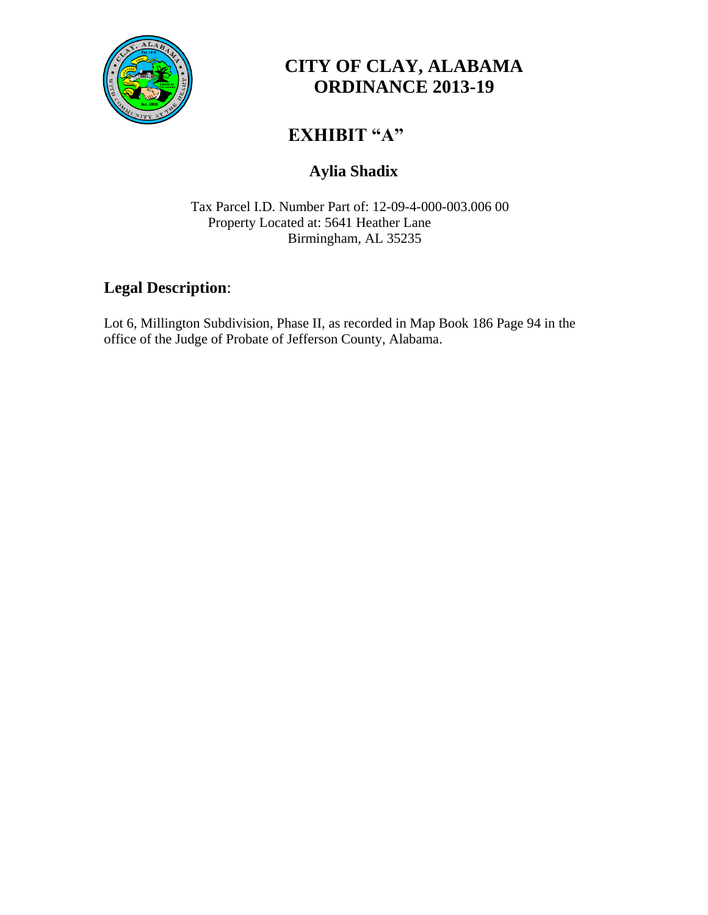

# **CITY OF CLAY, ALABAMA ORDINANCE 2013-19**

# **EXHIBIT "A"**

## **Aylia Shadix**

Tax Parcel I.D. Number Part of: 12-09-4-000-003.006 00 Property Located at: 5641 Heather Lane Birmingham, AL 35235

### **Legal Description**:

Lot 6, Millington Subdivision, Phase II, as recorded in Map Book 186 Page 94 in the office of the Judge of Probate of Jefferson County, Alabama.